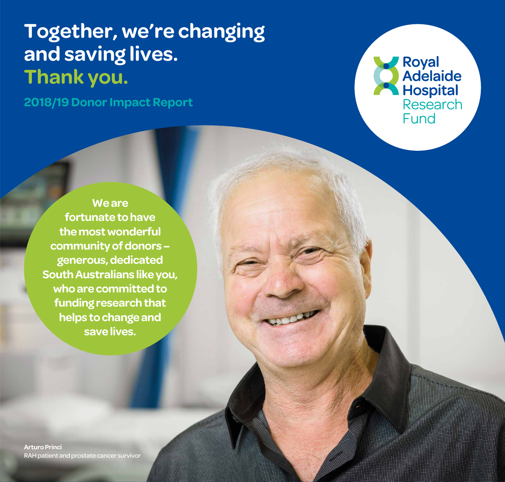# **Together, we're changing and saving lives. Thank you.**

**2018/19 Donor Impact Report**



**We are fortunate to have the most wonderful community of donors – generous, dedicated South Australians like you, who are committed to funding research that helps to change and save lives.**

**Arturo Princi**  RAH patient and prostate cancer survivor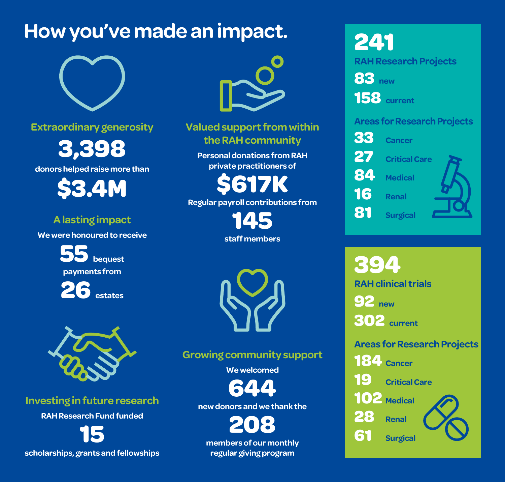# **How you've made an impact.**



**Extraordinary generosity**

**3,398**

**donors helped raise more than**

**\$3.4M**

## **A lasting impact**

**We were honoured to receive**

**55 bequest payments from**

**26 estates**



### **Investing in future research**

**RAH Research Fund funded** 

**15 scholarships, grants and fellowships**



**Valued support from within the RAH community** 

**Personal donations from RAH private practitioners of** 

**\$617K Regular payroll contributions from** 

> **145 staff members**



## **Growing community support**

**We welcomed** 

**644**

**new donors and we thank the** 

**208**

**members of our monthly regular giving program** 

**241 RAH Research Projects** 

**83 new**

**158 current**

### **Areas for Research Projects**



**394 RAH clinical trials 92 new 302 current**

### **Areas for Research Projects**

**184 Cancer** 

**19 Critical Care**

**102 Medical**

**28 Renal** 

**61 Surgical**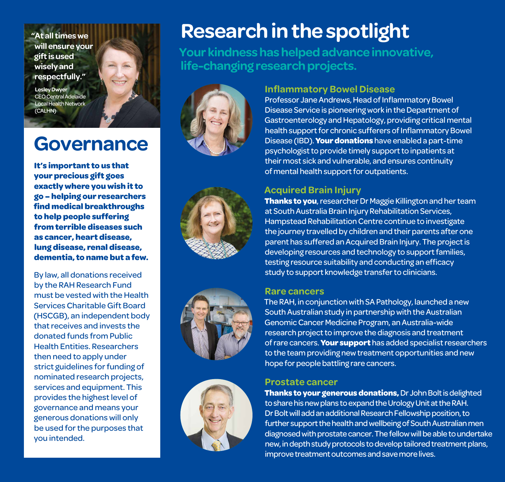**"At all times we will ensure your gift is used wisely and respectfully."**

**Lesley Dwyer**  CEO Central Adelaide Local Health Network (CALHN)

## **Governance**

**It's important to us that your precious gift goes exactly where you wish it to go – helping our researchers find medical breakthroughs to help people suffering from terrible diseases such as cancer, heart disease, lung disease, renal disease, dementia, to name but a few.** 

By law, all donations received by the RAH Research Fund must be vested with the Health Services Charitable Gift Board (HSCGB), an independent body that receives and invests the donated funds from Public Health Entities. Researchers then need to apply under strict guidelines for funding of nominated research projects, services and equipment. This provides the highest level of governance and means your generous donations will only be used for the purposes that you intended.

# **Research in the spotlight**

**Your kindness has helped advance innovative, life-changing research projects.**



#### **Inflammatory Bowel Disease**

Professor Jane Andrews, Head of Inflammatory Bowel Disease Service is pioneering work in the Department of Gastroenterology and Hepatology, providing critical mental health support for chronic sufferers of Inflammatory Bowel Disease (IBD). **Your donations** have enabled a part-time psychologist to provide timely support to inpatients at their most sick and vulnerable, and ensures continuity of mental health support for outpatients.







### **Acquired Brain Injury**

**Thanks to you**, researcher Dr Maggie Killington and her team at South Australia Brain Injury Rehabilitation Services, Hampstead Rehabilitation Centre continue to investigate the journey travelled by children and their parents after one parent has suffered an Acquired Brain Injury. The project is developing resources and technology to support families, testing resource suitability and conducting an efficacy study to support knowledge transfer to clinicians.

#### **Rare cancers**

The RAH, in conjunction with SA Pathology, launched a new South Australian study in partnership with the Australian Genomic Cancer Medicine Program, an Australia-wide research project to improve the diagnosis and treatment of rare cancers. **Your support** has added specialist researchers to the team providing new treatment opportunities and new hope for people battling rare cancers.

#### **Prostate cancer**

**Thanks to your generous donations,** Dr John Bolt is delighted to share his new plans to expand the Urology Unit at the RAH. Dr Bolt will add an additional Research Fellowship position, to further support the health and wellbeing of South Australian men diagnosed with prostate cancer. The fellow will be able to undertake new, in depth study protocols to develop tailored treatment plans, improve treatment outcomes and save more lives.